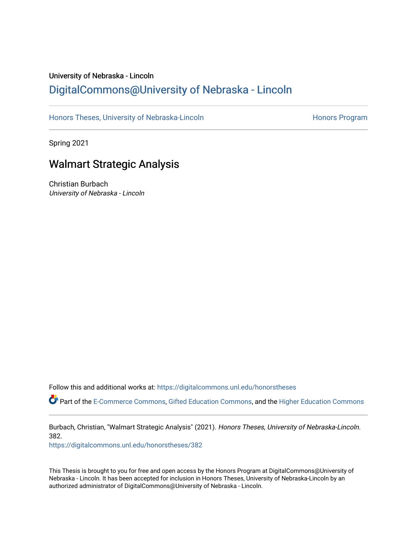# University of Nebraska - Lincoln [DigitalCommons@University of Nebraska - Lincoln](https://digitalcommons.unl.edu/)

[Honors Theses, University of Nebraska-Lincoln](https://digitalcommons.unl.edu/honorstheses) **Honors Program** Honors Program

Spring 2021

# Walmart Strategic Analysis

Christian Burbach University of Nebraska - Lincoln

Follow this and additional works at: [https://digitalcommons.unl.edu/honorstheses](https://digitalcommons.unl.edu/honorstheses?utm_source=digitalcommons.unl.edu%2Fhonorstheses%2F382&utm_medium=PDF&utm_campaign=PDFCoverPages)

Part of the [E-Commerce Commons](http://network.bepress.com/hgg/discipline/624?utm_source=digitalcommons.unl.edu%2Fhonorstheses%2F382&utm_medium=PDF&utm_campaign=PDFCoverPages), [Gifted Education Commons,](http://network.bepress.com/hgg/discipline/1048?utm_source=digitalcommons.unl.edu%2Fhonorstheses%2F382&utm_medium=PDF&utm_campaign=PDFCoverPages) and the [Higher Education Commons](http://network.bepress.com/hgg/discipline/1245?utm_source=digitalcommons.unl.edu%2Fhonorstheses%2F382&utm_medium=PDF&utm_campaign=PDFCoverPages) 

Burbach, Christian, "Walmart Strategic Analysis" (2021). Honors Theses, University of Nebraska-Lincoln. 382.

[https://digitalcommons.unl.edu/honorstheses/382](https://digitalcommons.unl.edu/honorstheses/382?utm_source=digitalcommons.unl.edu%2Fhonorstheses%2F382&utm_medium=PDF&utm_campaign=PDFCoverPages)

This Thesis is brought to you for free and open access by the Honors Program at DigitalCommons@University of Nebraska - Lincoln. It has been accepted for inclusion in Honors Theses, University of Nebraska-Lincoln by an authorized administrator of DigitalCommons@University of Nebraska - Lincoln.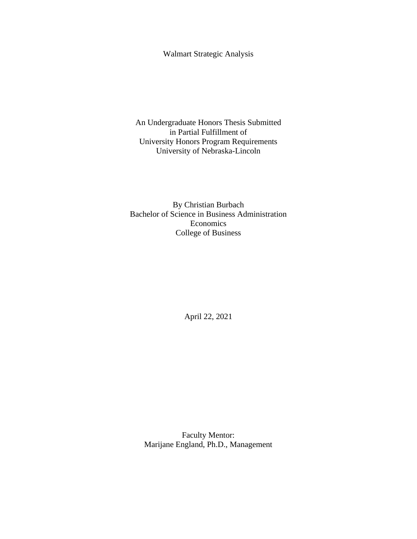Walmart Strategic Analysis

An Undergraduate Honors Thesis Submitted in Partial Fulfillment of University Honors Program Requirements University of Nebraska-Lincoln

By Christian Burbach Bachelor of Science in Business Administration Economics College of Business

April 22, 2021

Faculty Mentor: Marijane England, Ph.D., Management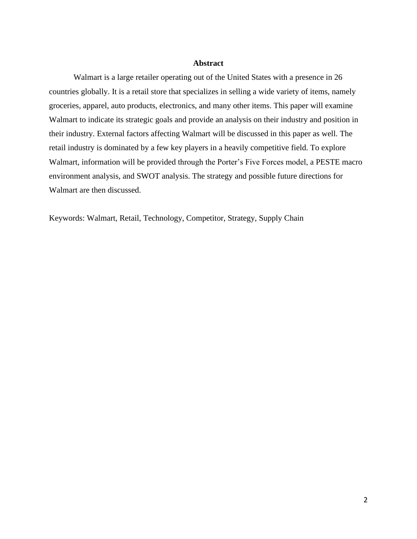## **Abstract**

Walmart is a large retailer operating out of the United States with a presence in 26 countries globally. It is a retail store that specializes in selling a wide variety of items, namely groceries, apparel, auto products, electronics, and many other items. This paper will examine Walmart to indicate its strategic goals and provide an analysis on their industry and position in their industry. External factors affecting Walmart will be discussed in this paper as well. The retail industry is dominated by a few key players in a heavily competitive field. To explore Walmart, information will be provided through the Porter's Five Forces model, a PESTE macro environment analysis, and SWOT analysis. The strategy and possible future directions for Walmart are then discussed.

Keywords: Walmart, Retail, Technology, Competitor, Strategy, Supply Chain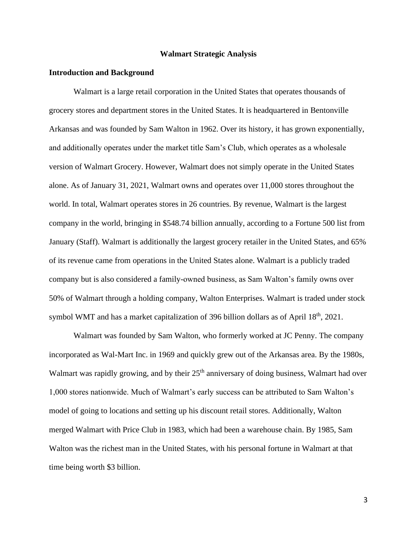## **Walmart Strategic Analysis**

### **Introduction and Background**

Walmart is a large retail corporation in the United States that operates thousands of grocery stores and department stores in the United States. It is headquartered in Bentonville Arkansas and was founded by Sam Walton in 1962. Over its history, it has grown exponentially, and additionally operates under the market title Sam's Club, which operates as a wholesale version of Walmart Grocery. However, Walmart does not simply operate in the United States alone. As of January 31, 2021, Walmart owns and operates over 11,000 stores throughout the world. In total, Walmart operates stores in 26 countries. By revenue, Walmart is the largest company in the world, bringing in \$548.74 billion annually, according to a Fortune 500 list from January (Staff). Walmart is additionally the largest grocery retailer in the United States, and 65% of its revenue came from operations in the United States alone. Walmart is a publicly traded company but is also considered a family-owned business, as Sam Walton's family owns over 50% of Walmart through a holding company, Walton Enterprises. Walmart is traded under stock symbol WMT and has a market capitalization of 396 billion dollars as of April  $18<sup>th</sup>$ , 2021.

Walmart was founded by Sam Walton, who formerly worked at JC Penny. The company incorporated as Wal-Mart Inc. in 1969 and quickly grew out of the Arkansas area. By the 1980s, Walmart was rapidly growing, and by their  $25<sup>th</sup>$  anniversary of doing business, Walmart had over 1,000 stores nationwide. Much of Walmart's early success can be attributed to Sam Walton's model of going to locations and setting up his discount retail stores. Additionally, Walton merged Walmart with Price Club in 1983, which had been a warehouse chain. By 1985, Sam Walton was the richest man in the United States, with his personal fortune in Walmart at that time being worth \$3 billion.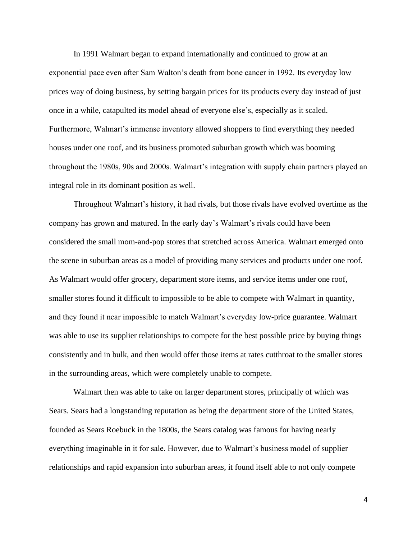In 1991 Walmart began to expand internationally and continued to grow at an exponential pace even after Sam Walton's death from bone cancer in 1992. Its everyday low prices way of doing business, by setting bargain prices for its products every day instead of just once in a while, catapulted its model ahead of everyone else's, especially as it scaled. Furthermore, Walmart's immense inventory allowed shoppers to find everything they needed houses under one roof, and its business promoted suburban growth which was booming throughout the 1980s, 90s and 2000s. Walmart's integration with supply chain partners played an integral role in its dominant position as well.

Throughout Walmart's history, it had rivals, but those rivals have evolved overtime as the company has grown and matured. In the early day's Walmart's rivals could have been considered the small mom-and-pop stores that stretched across America. Walmart emerged onto the scene in suburban areas as a model of providing many services and products under one roof. As Walmart would offer grocery, department store items, and service items under one roof, smaller stores found it difficult to impossible to be able to compete with Walmart in quantity, and they found it near impossible to match Walmart's everyday low-price guarantee. Walmart was able to use its supplier relationships to compete for the best possible price by buying things consistently and in bulk, and then would offer those items at rates cutthroat to the smaller stores in the surrounding areas, which were completely unable to compete.

Walmart then was able to take on larger department stores, principally of which was Sears. Sears had a longstanding reputation as being the department store of the United States, founded as Sears Roebuck in the 1800s, the Sears catalog was famous for having nearly everything imaginable in it for sale. However, due to Walmart's business model of supplier relationships and rapid expansion into suburban areas, it found itself able to not only compete

4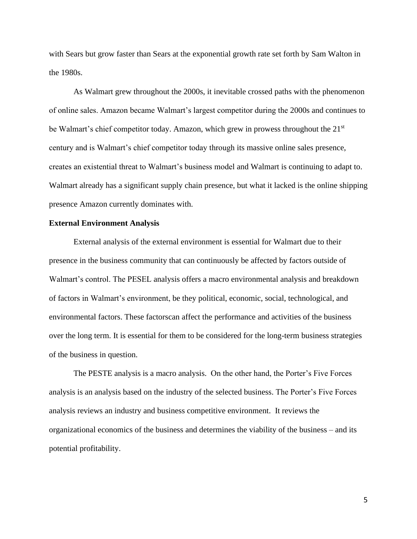with Sears but grow faster than Sears at the exponential growth rate set forth by Sam Walton in the 1980s.

As Walmart grew throughout the 2000s, it inevitable crossed paths with the phenomenon of online sales. Amazon became Walmart's largest competitor during the 2000s and continues to be Walmart's chief competitor today. Amazon, which grew in prowess throughout the 21<sup>st</sup> century and is Walmart's chief competitor today through its massive online sales presence, creates an existential threat to Walmart's business model and Walmart is continuing to adapt to. Walmart already has a significant supply chain presence, but what it lacked is the online shipping presence Amazon currently dominates with.

#### **External Environment Analysis**

External analysis of the external environment is essential for Walmart due to their presence in the business community that can continuously be affected by factors outside of Walmart's control. The PESEL analysis offers a macro environmental analysis and breakdown of factors in Walmart's environment, be they political, economic, social, technological, and environmental factors. These factorscan affect the performance and activities of the business over the long term. It is essential for them to be considered for the long-term business strategies of the business in question.

The PESTE analysis is a macro analysis. On the other hand, the Porter's Five Forces analysis is an analysis based on the industry of the selected business. The Porter's Five Forces analysis reviews an industry and business competitive environment. It reviews the organizational economics of the business and determines the viability of the business – and its potential profitability.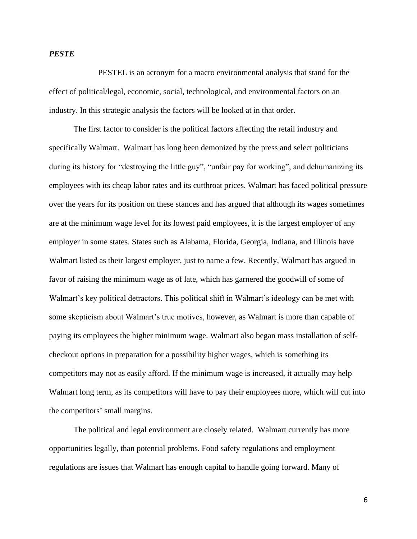## *PESTE*

PESTEL is an acronym for a macro environmental analysis that stand for the effect of political/legal, economic, social, technological, and environmental factors on an industry. In this strategic analysis the factors will be looked at in that order.

The first factor to consider is the political factors affecting the retail industry and specifically Walmart. Walmart has long been demonized by the press and select politicians during its history for "destroying the little guy", "unfair pay for working", and dehumanizing its employees with its cheap labor rates and its cutthroat prices. Walmart has faced political pressure over the years for its position on these stances and has argued that although its wages sometimes are at the minimum wage level for its lowest paid employees, it is the largest employer of any employer in some states. States such as Alabama, Florida, Georgia, Indiana, and Illinois have Walmart listed as their largest employer, just to name a few. Recently, Walmart has argued in favor of raising the minimum wage as of late, which has garnered the goodwill of some of Walmart's key political detractors. This political shift in Walmart's ideology can be met with some skepticism about Walmart's true motives, however, as Walmart is more than capable of paying its employees the higher minimum wage. Walmart also began mass installation of selfcheckout options in preparation for a possibility higher wages, which is something its competitors may not as easily afford. If the minimum wage is increased, it actually may help Walmart long term, as its competitors will have to pay their employees more, which will cut into the competitors' small margins.

The political and legal environment are closely related. Walmart currently has more opportunities legally, than potential problems. Food safety regulations and employment regulations are issues that Walmart has enough capital to handle going forward. Many of

6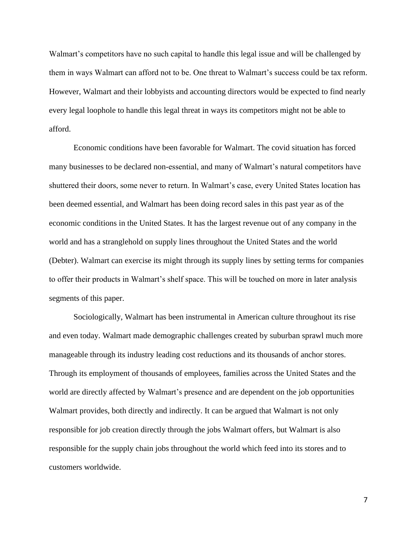Walmart's competitors have no such capital to handle this legal issue and will be challenged by them in ways Walmart can afford not to be. One threat to Walmart's success could be tax reform. However, Walmart and their lobbyists and accounting directors would be expected to find nearly every legal loophole to handle this legal threat in ways its competitors might not be able to afford.

Economic conditions have been favorable for Walmart. The covid situation has forced many businesses to be declared non-essential, and many of Walmart's natural competitors have shuttered their doors, some never to return. In Walmart's case, every United States location has been deemed essential, and Walmart has been doing record sales in this past year as of the economic conditions in the United States. It has the largest revenue out of any company in the world and has a stranglehold on supply lines throughout the United States and the world (Debter). Walmart can exercise its might through its supply lines by setting terms for companies to offer their products in Walmart's shelf space. This will be touched on more in later analysis segments of this paper.

Sociologically, Walmart has been instrumental in American culture throughout its rise and even today. Walmart made demographic challenges created by suburban sprawl much more manageable through its industry leading cost reductions and its thousands of anchor stores. Through its employment of thousands of employees, families across the United States and the world are directly affected by Walmart's presence and are dependent on the job opportunities Walmart provides, both directly and indirectly. It can be argued that Walmart is not only responsible for job creation directly through the jobs Walmart offers, but Walmart is also responsible for the supply chain jobs throughout the world which feed into its stores and to customers worldwide.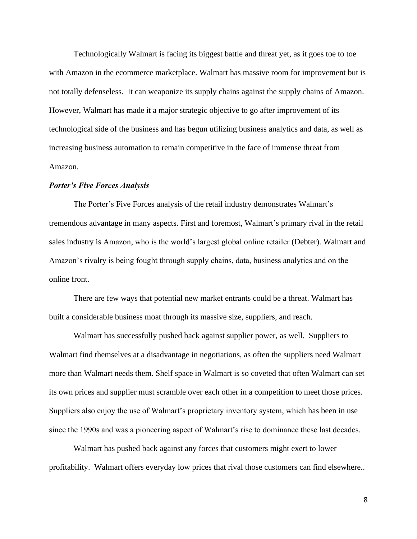Technologically Walmart is facing its biggest battle and threat yet, as it goes toe to toe with Amazon in the ecommerce marketplace. Walmart has massive room for improvement but is not totally defenseless. It can weaponize its supply chains against the supply chains of Amazon. However, Walmart has made it a major strategic objective to go after improvement of its technological side of the business and has begun utilizing business analytics and data, as well as increasing business automation to remain competitive in the face of immense threat from Amazon.

## *Porter's Five Forces Analysis*

The Porter's Five Forces analysis of the retail industry demonstrates Walmart's tremendous advantage in many aspects. First and foremost, Walmart's primary rival in the retail sales industry is Amazon, who is the world's largest global online retailer (Debter). Walmart and Amazon's rivalry is being fought through supply chains, data, business analytics and on the online front.

There are few ways that potential new market entrants could be a threat. Walmart has built a considerable business moat through its massive size, suppliers, and reach.

Walmart has successfully pushed back against supplier power, as well. Suppliers to Walmart find themselves at a disadvantage in negotiations, as often the suppliers need Walmart more than Walmart needs them. Shelf space in Walmart is so coveted that often Walmart can set its own prices and supplier must scramble over each other in a competition to meet those prices. Suppliers also enjoy the use of Walmart's proprietary inventory system, which has been in use since the 1990s and was a pioneering aspect of Walmart's rise to dominance these last decades.

Walmart has pushed back against any forces that customers might exert to lower profitability. Walmart offers everyday low prices that rival those customers can find elsewhere..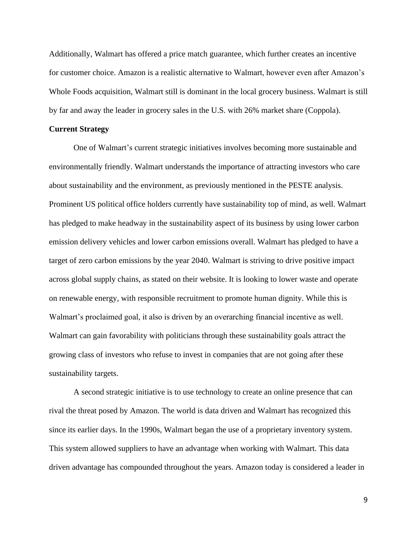Additionally, Walmart has offered a price match guarantee, which further creates an incentive for customer choice. Amazon is a realistic alternative to Walmart, however even after Amazon's Whole Foods acquisition, Walmart still is dominant in the local grocery business. Walmart is still by far and away the leader in grocery sales in the U.S. with 26% market share (Coppola).

## **Current Strategy**

One of Walmart's current strategic initiatives involves becoming more sustainable and environmentally friendly. Walmart understands the importance of attracting investors who care about sustainability and the environment, as previously mentioned in the PESTE analysis. Prominent US political office holders currently have sustainability top of mind, as well. Walmart has pledged to make headway in the sustainability aspect of its business by using lower carbon emission delivery vehicles and lower carbon emissions overall. Walmart has pledged to have a target of zero carbon emissions by the year 2040. Walmart is striving to drive positive impact across global supply chains, as stated on their website. It is looking to lower waste and operate on renewable energy, with responsible recruitment to promote human dignity. While this is Walmart's proclaimed goal, it also is driven by an overarching financial incentive as well. Walmart can gain favorability with politicians through these sustainability goals attract the growing class of investors who refuse to invest in companies that are not going after these sustainability targets.

A second strategic initiative is to use technology to create an online presence that can rival the threat posed by Amazon. The world is data driven and Walmart has recognized this since its earlier days. In the 1990s, Walmart began the use of a proprietary inventory system. This system allowed suppliers to have an advantage when working with Walmart. This data driven advantage has compounded throughout the years. Amazon today is considered a leader in

9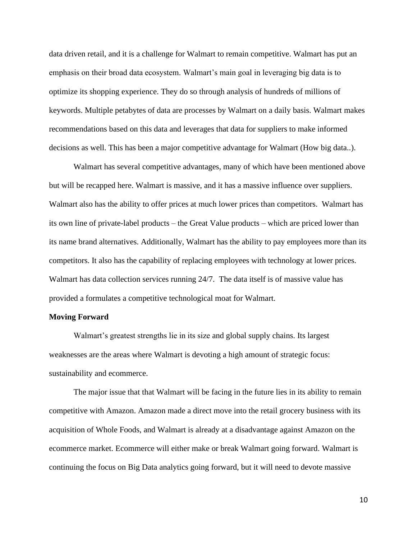data driven retail, and it is a challenge for Walmart to remain competitive. Walmart has put an emphasis on their broad data ecosystem. Walmart's main goal in leveraging big data is to optimize its shopping experience. They do so through analysis of hundreds of millions of keywords. Multiple petabytes of data are processes by Walmart on a daily basis. Walmart makes recommendations based on this data and leverages that data for suppliers to make informed decisions as well. This has been a major competitive advantage for Walmart (How big data..).

Walmart has several competitive advantages, many of which have been mentioned above but will be recapped here. Walmart is massive, and it has a massive influence over suppliers. Walmart also has the ability to offer prices at much lower prices than competitors. Walmart has its own line of private-label products – the Great Value products – which are priced lower than its name brand alternatives. Additionally, Walmart has the ability to pay employees more than its competitors. It also has the capability of replacing employees with technology at lower prices. Walmart has data collection services running 24/7. The data itself is of massive value has provided a formulates a competitive technological moat for Walmart.

## **Moving Forward**

Walmart's greatest strengths lie in its size and global supply chains. Its largest weaknesses are the areas where Walmart is devoting a high amount of strategic focus: sustainability and ecommerce.

The major issue that that Walmart will be facing in the future lies in its ability to remain competitive with Amazon. Amazon made a direct move into the retail grocery business with its acquisition of Whole Foods, and Walmart is already at a disadvantage against Amazon on the ecommerce market. Ecommerce will either make or break Walmart going forward. Walmart is continuing the focus on Big Data analytics going forward, but it will need to devote massive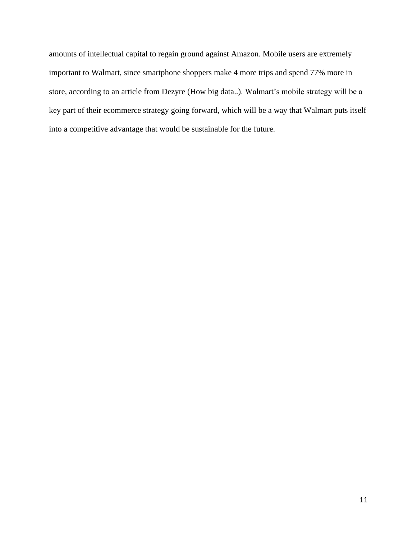amounts of intellectual capital to regain ground against Amazon. Mobile users are extremely important to Walmart, since smartphone shoppers make 4 more trips and spend 77% more in store, according to an article from Dezyre (How big data..). Walmart's mobile strategy will be a key part of their ecommerce strategy going forward, which will be a way that Walmart puts itself into a competitive advantage that would be sustainable for the future.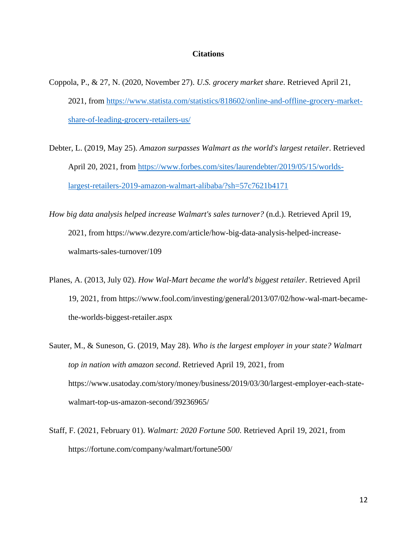## **Citations**

- Coppola, P., & 27, N. (2020, November 27). *U.S. grocery market share*. Retrieved April 21, 2021, from [https://www.statista.com/statistics/818602/online-and-offline-grocery-market](https://www.statista.com/statistics/818602/online-and-offline-grocery-market-share-of-leading-grocery-retailers-us/)[share-of-leading-grocery-retailers-us/](https://www.statista.com/statistics/818602/online-and-offline-grocery-market-share-of-leading-grocery-retailers-us/)
- Debter, L. (2019, May 25). *Amazon surpasses Walmart as the world's largest retailer*. Retrieved April 20, 2021, from [https://www.forbes.com/sites/laurendebter/2019/05/15/worlds](https://www.forbes.com/sites/laurendebter/2019/05/15/worlds-largest-retailers-2019-amazon-walmart-alibaba/?sh=57c7621b4171)[largest-retailers-2019-amazon-walmart-alibaba/?sh=57c7621b4171](https://www.forbes.com/sites/laurendebter/2019/05/15/worlds-largest-retailers-2019-amazon-walmart-alibaba/?sh=57c7621b4171)
- *How big data analysis helped increase Walmart's sales turnover?* (n.d.). Retrieved April 19, 2021, from https://www.dezyre.com/article/how-big-data-analysis-helped-increasewalmarts-sales-turnover/109
- Planes, A. (2013, July 02). *How Wal-Mart became the world's biggest retailer*. Retrieved April 19, 2021, from https://www.fool.com/investing/general/2013/07/02/how-wal-mart-becamethe-worlds-biggest-retailer.aspx
- Sauter, M., & Suneson, G. (2019, May 28). *Who is the largest employer in your state? Walmart top in nation with amazon second*. Retrieved April 19, 2021, from https://www.usatoday.com/story/money/business/2019/03/30/largest-employer-each-statewalmart-top-us-amazon-second/39236965/
- Staff, F. (2021, February 01). *Walmart: 2020 Fortune 500*. Retrieved April 19, 2021, from https://fortune.com/company/walmart/fortune500/